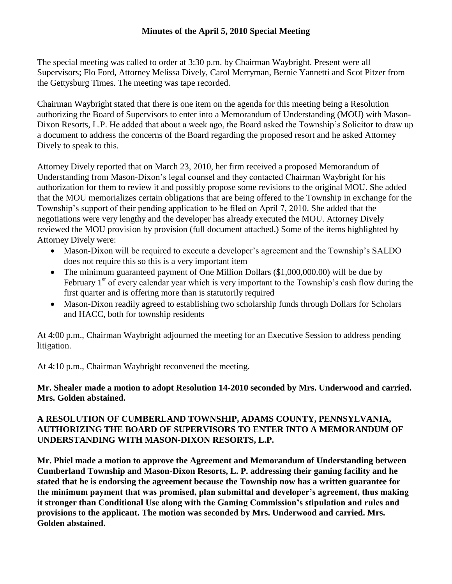## **Minutes of the April 5, 2010 Special Meeting**

The special meeting was called to order at 3:30 p.m. by Chairman Waybright. Present were all Supervisors; Flo Ford, Attorney Melissa Dively, Carol Merryman, Bernie Yannetti and Scot Pitzer from the Gettysburg Times. The meeting was tape recorded.

Chairman Waybright stated that there is one item on the agenda for this meeting being a Resolution authorizing the Board of Supervisors to enter into a Memorandum of Understanding (MOU) with Mason-Dixon Resorts, L.P. He added that about a week ago, the Board asked the Township's Solicitor to draw up a document to address the concerns of the Board regarding the proposed resort and he asked Attorney Dively to speak to this.

Attorney Dively reported that on March 23, 2010, her firm received a proposed Memorandum of Understanding from Mason-Dixon's legal counsel and they contacted Chairman Waybright for his authorization for them to review it and possibly propose some revisions to the original MOU. She added that the MOU memorializes certain obligations that are being offered to the Township in exchange for the Township's support of their pending application to be filed on April 7, 2010. She added that the negotiations were very lengthy and the developer has already executed the MOU. Attorney Dively reviewed the MOU provision by provision (full document attached.) Some of the items highlighted by Attorney Dively were:

- Mason-Dixon will be required to execute a developer's agreement and the Township's SALDO does not require this so this is a very important item
- The minimum guaranteed payment of One Million Dollars (\$1,000,000.00) will be due by February  $1<sup>st</sup>$  of every calendar year which is very important to the Township's cash flow during the first quarter and is offering more than is statutorily required
- Mason-Dixon readily agreed to establishing two scholarship funds through Dollars for Scholars and HACC, both for township residents

At 4:00 p.m., Chairman Waybright adjourned the meeting for an Executive Session to address pending litigation.

At 4:10 p.m., Chairman Waybright reconvened the meeting.

## **Mr. Shealer made a motion to adopt Resolution 14-2010 seconded by Mrs. Underwood and carried. Mrs. Golden abstained.**

## **A RESOLUTION OF CUMBERLAND TOWNSHIP, ADAMS COUNTY, PENNSYLVANIA, AUTHORIZING THE BOARD OF SUPERVISORS TO ENTER INTO A MEMORANDUM OF UNDERSTANDING WITH MASON-DIXON RESORTS, L.P.**

**Mr. Phiel made a motion to approve the Agreement and Memorandum of Understanding between Cumberland Township and Mason-Dixon Resorts, L. P. addressing their gaming facility and he stated that he is endorsing the agreement because the Township now has a written guarantee for the minimum payment that was promised, plan submittal and developer's agreement, thus making it stronger than Conditional Use along with the Gaming Commission's stipulation and rules and provisions to the applicant. The motion was seconded by Mrs. Underwood and carried. Mrs. Golden abstained.**